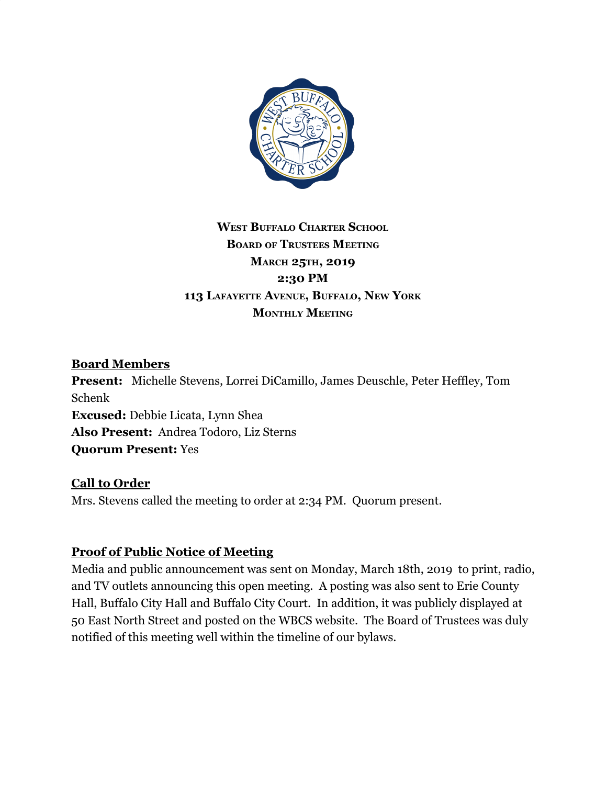

# **WEST BUFFALO CHARTER SCHOOL BOARD OF TRUSTEES MEETING MARCH 25TH, 2019 2:30 PM 113 LAFAYETTE AVENUE, BUFFALO, NEW YORK MONTHLY MEETING**

#### **Board Members**

**Present:** Michelle Stevens, Lorrei DiCamillo, James Deuschle, Peter Heffley, Tom Schenk **Excused:** Debbie Licata, Lynn Shea **Also Present:** Andrea Todoro, Liz Sterns **Quorum Present:** Yes

## **Call to Order**

Mrs. Stevens called the meeting to order at 2:34 PM. Quorum present.

## **Proof of Public Notice of Meeting**

Media and public announcement was sent on Monday, March 18th, 2019 to print, radio, and TV outlets announcing this open meeting. A posting was also sent to Erie County Hall, Buffalo City Hall and Buffalo City Court. In addition, it was publicly displayed at 50 East North Street and posted on the WBCS website. The Board of Trustees was duly notified of this meeting well within the timeline of our bylaws.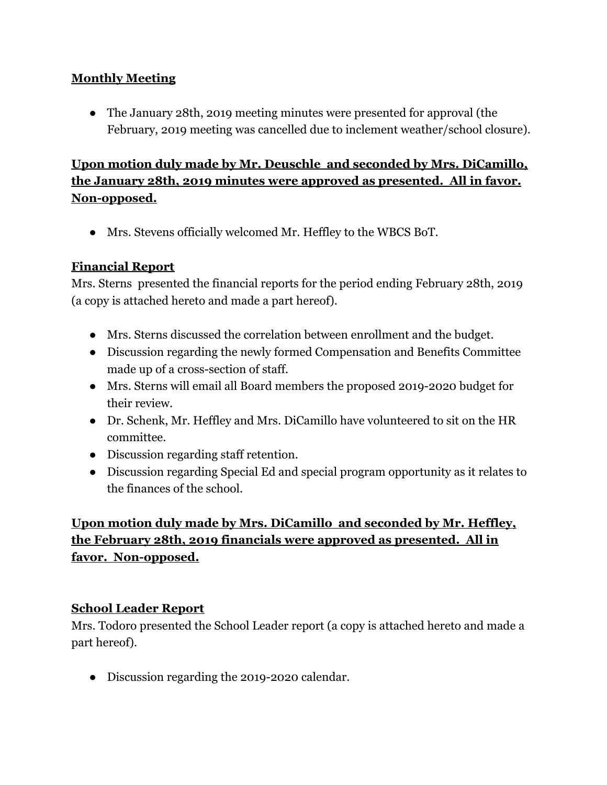## **Monthly Meeting**

• The January 28th, 2019 meeting minutes were presented for approval (the February, 2019 meeting was cancelled due to inclement weather/school closure).

# **Upon motion duly made by Mr. Deuschle and seconded by Mrs. DiCamillo, the January 28th, 2019 minutes were approved as presented. All in favor. Non-opposed.**

● Mrs. Stevens officially welcomed Mr. Heffley to the WBCS BoT.

#### **Financial Report**

Mrs. Sterns presented the financial reports for the period ending February 28th, 2019 (a copy is attached hereto and made a part hereof).

- Mrs. Sterns discussed the correlation between enrollment and the budget.
- Discussion regarding the newly formed Compensation and Benefits Committee made up of a cross-section of staff.
- Mrs. Sterns will email all Board members the proposed 2019-2020 budget for their review.
- Dr. Schenk, Mr. Heffley and Mrs. DiCamillo have volunteered to sit on the HR committee.
- Discussion regarding staff retention.
- Discussion regarding Special Ed and special program opportunity as it relates to the finances of the school.

# **Upon motion duly made by Mrs. DiCamillo and seconded by Mr. Heffley, the February 28th, 2019 financials were approved as presented. All in favor. Non-opposed.**

#### **School Leader Report**

Mrs. Todoro presented the School Leader report (a copy is attached hereto and made a part hereof).

**●** Discussion regarding the 2019-2020 calendar.